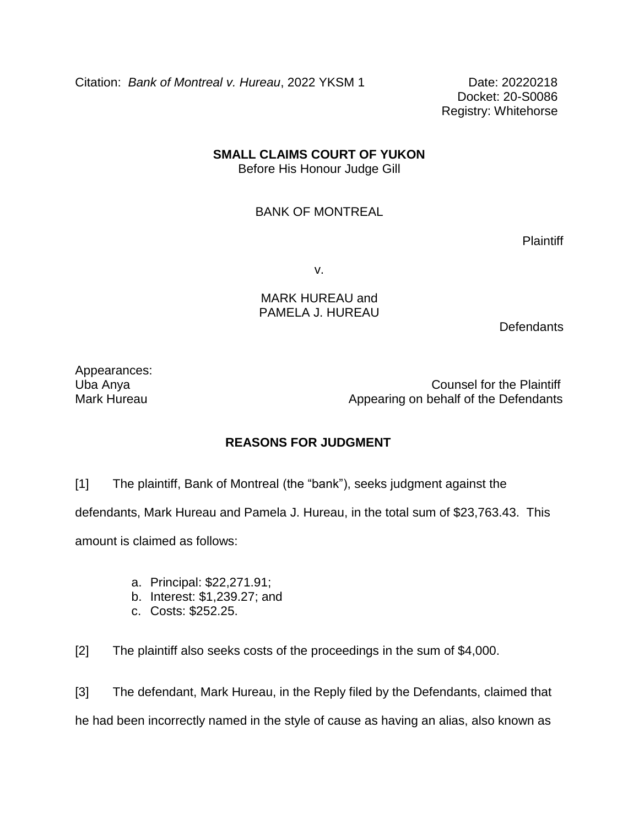Citation: *Bank of Montreal v. Hureau*, 2022 YKSM 1 Date: 20220218

Docket: 20-S0086 Registry: Whitehorse

## **SMALL CLAIMS COURT OF YUKON**

Before His Honour Judge Gill

## BANK OF MONTREAL

Plaintiff

v.

## MARK HUREAU and PAMELA J. HUREAU

**Defendants** 

Appearances:

Uba Anya Counsel for the Plaintiff Mark Hureau **Appearing on behalf of the Defendants** 

## **REASONS FOR JUDGMENT**

[1] The plaintiff, Bank of Montreal (the "bank"), seeks judgment against the defendants, Mark Hureau and Pamela J. Hureau, in the total sum of \$23,763.43. This amount is claimed as follows:

- a. Principal: \$22,271.91;
- b. Interest: \$1,239.27; and
- c. Costs: \$252.25.

[2] The plaintiff also seeks costs of the proceedings in the sum of \$4,000.

[3] The defendant, Mark Hureau, in the Reply filed by the Defendants, claimed that he had been incorrectly named in the style of cause as having an alias, also known as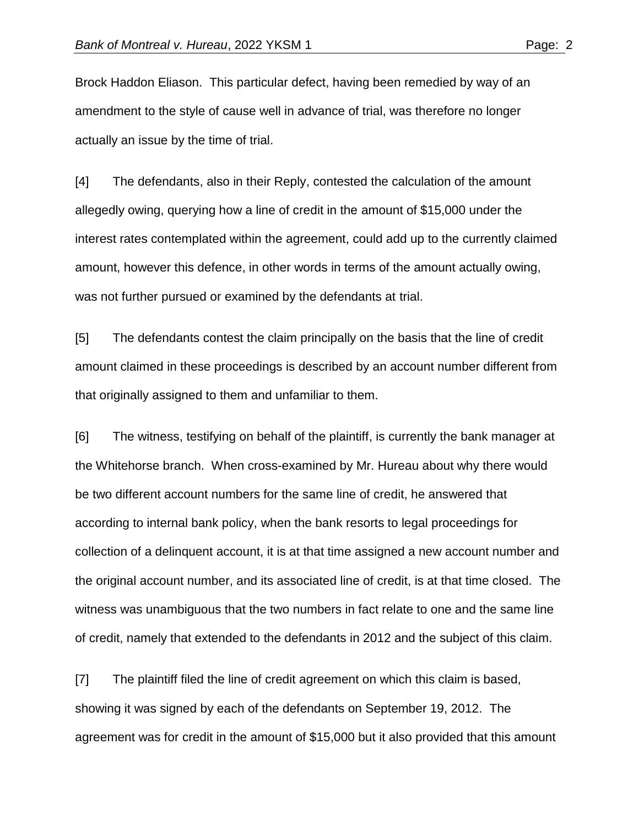Brock Haddon Eliason. This particular defect, having been remedied by way of an amendment to the style of cause well in advance of trial, was therefore no longer actually an issue by the time of trial.

[4] The defendants, also in their Reply, contested the calculation of the amount allegedly owing, querying how a line of credit in the amount of \$15,000 under the interest rates contemplated within the agreement, could add up to the currently claimed amount, however this defence, in other words in terms of the amount actually owing, was not further pursued or examined by the defendants at trial.

[5] The defendants contest the claim principally on the basis that the line of credit amount claimed in these proceedings is described by an account number different from that originally assigned to them and unfamiliar to them.

[6] The witness, testifying on behalf of the plaintiff, is currently the bank manager at the Whitehorse branch. When cross-examined by Mr. Hureau about why there would be two different account numbers for the same line of credit, he answered that according to internal bank policy, when the bank resorts to legal proceedings for collection of a delinquent account, it is at that time assigned a new account number and the original account number, and its associated line of credit, is at that time closed. The witness was unambiguous that the two numbers in fact relate to one and the same line of credit, namely that extended to the defendants in 2012 and the subject of this claim.

[7] The plaintiff filed the line of credit agreement on which this claim is based, showing it was signed by each of the defendants on September 19, 2012. The agreement was for credit in the amount of \$15,000 but it also provided that this amount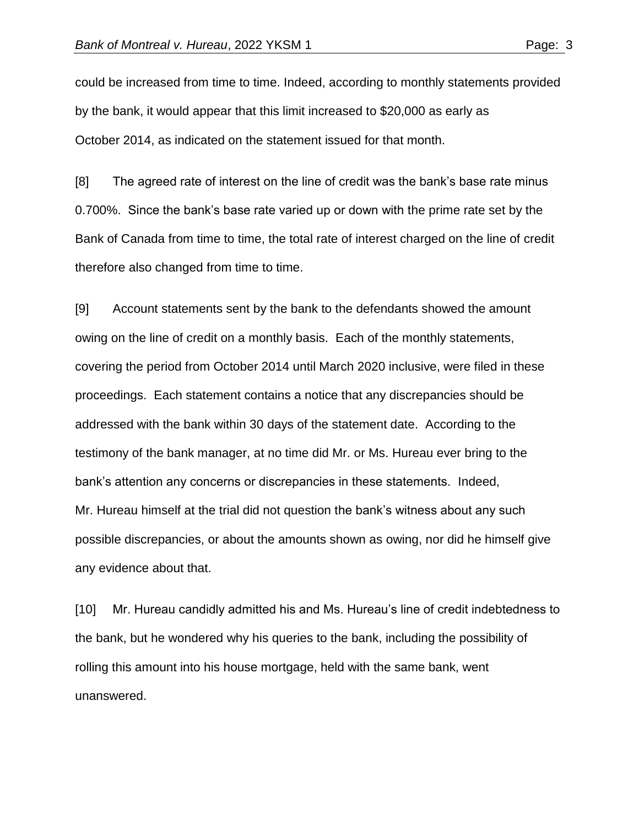could be increased from time to time. Indeed, according to monthly statements provided by the bank, it would appear that this limit increased to \$20,000 as early as October 2014, as indicated on the statement issued for that month.

[8] The agreed rate of interest on the line of credit was the bank's base rate minus 0.700%. Since the bank's base rate varied up or down with the prime rate set by the Bank of Canada from time to time, the total rate of interest charged on the line of credit therefore also changed from time to time.

[9] Account statements sent by the bank to the defendants showed the amount owing on the line of credit on a monthly basis. Each of the monthly statements, covering the period from October 2014 until March 2020 inclusive, were filed in these proceedings. Each statement contains a notice that any discrepancies should be addressed with the bank within 30 days of the statement date. According to the testimony of the bank manager, at no time did Mr. or Ms. Hureau ever bring to the bank's attention any concerns or discrepancies in these statements. Indeed, Mr. Hureau himself at the trial did not question the bank's witness about any such possible discrepancies, or about the amounts shown as owing, nor did he himself give any evidence about that.

[10] Mr. Hureau candidly admitted his and Ms. Hureau's line of credit indebtedness to the bank, but he wondered why his queries to the bank, including the possibility of rolling this amount into his house mortgage, held with the same bank, went unanswered.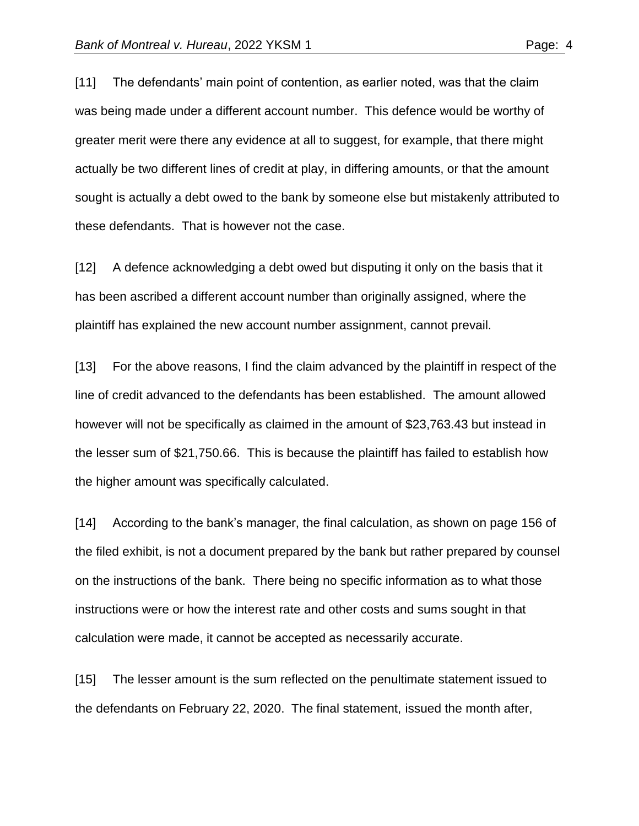[11] The defendants' main point of contention, as earlier noted, was that the claim was being made under a different account number. This defence would be worthy of greater merit were there any evidence at all to suggest, for example, that there might actually be two different lines of credit at play, in differing amounts, or that the amount

sought is actually a debt owed to the bank by someone else but mistakenly attributed to these defendants. That is however not the case.

[12] A defence acknowledging a debt owed but disputing it only on the basis that it has been ascribed a different account number than originally assigned, where the plaintiff has explained the new account number assignment, cannot prevail.

[13] For the above reasons, I find the claim advanced by the plaintiff in respect of the line of credit advanced to the defendants has been established. The amount allowed however will not be specifically as claimed in the amount of \$23,763.43 but instead in the lesser sum of \$21,750.66. This is because the plaintiff has failed to establish how the higher amount was specifically calculated.

[14] According to the bank's manager, the final calculation, as shown on page 156 of the filed exhibit, is not a document prepared by the bank but rather prepared by counsel on the instructions of the bank. There being no specific information as to what those instructions were or how the interest rate and other costs and sums sought in that calculation were made, it cannot be accepted as necessarily accurate.

[15] The lesser amount is the sum reflected on the penultimate statement issued to the defendants on February 22, 2020. The final statement, issued the month after,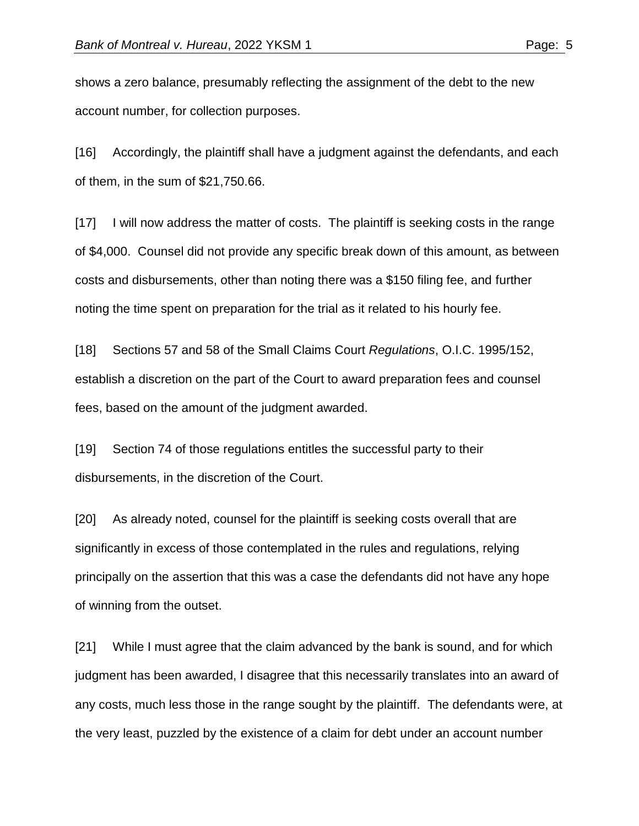shows a zero balance, presumably reflecting the assignment of the debt to the new account number, for collection purposes.

[16] Accordingly, the plaintiff shall have a judgment against the defendants, and each of them, in the sum of \$21,750.66.

[17] I will now address the matter of costs. The plaintiff is seeking costs in the range of \$4,000. Counsel did not provide any specific break down of this amount, as between costs and disbursements, other than noting there was a \$150 filing fee, and further noting the time spent on preparation for the trial as it related to his hourly fee.

[18] Sections 57 and 58 of the Small Claims Court *Regulations*, O.I.C. 1995/152, establish a discretion on the part of the Court to award preparation fees and counsel fees, based on the amount of the judgment awarded.

[19] Section 74 of those regulations entitles the successful party to their disbursements, in the discretion of the Court.

[20] As already noted, counsel for the plaintiff is seeking costs overall that are significantly in excess of those contemplated in the rules and regulations, relying principally on the assertion that this was a case the defendants did not have any hope of winning from the outset.

[21] While I must agree that the claim advanced by the bank is sound, and for which judgment has been awarded, I disagree that this necessarily translates into an award of any costs, much less those in the range sought by the plaintiff. The defendants were, at the very least, puzzled by the existence of a claim for debt under an account number